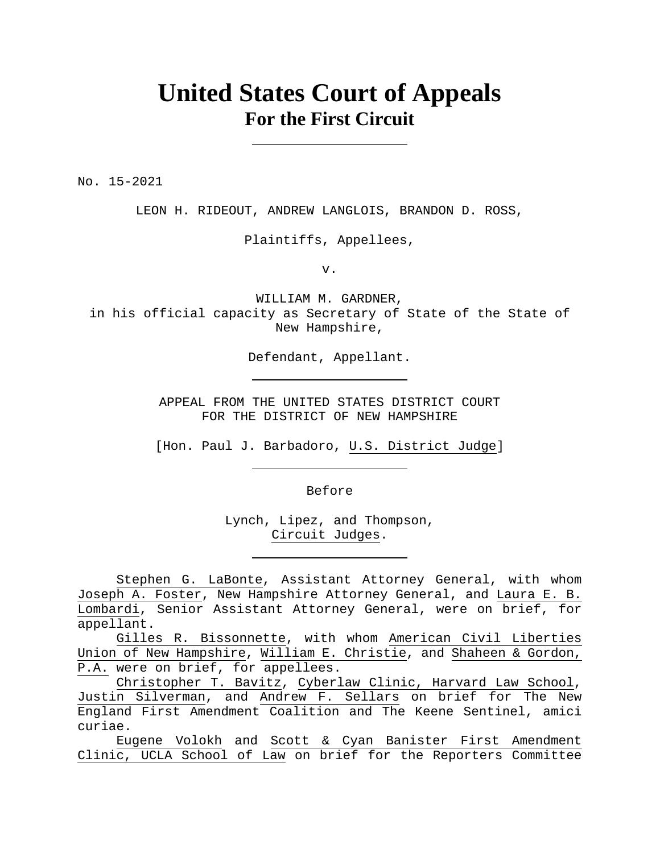## **United States Court of Appeals For the First Circuit**

No. 15-2021

LEON H. RIDEOUT, ANDREW LANGLOIS, BRANDON D. ROSS,

Plaintiffs, Appellees,

v.

WILLIAM M. GARDNER, in his official capacity as Secretary of State of the State of New Hampshire,

Defendant, Appellant.

APPEAL FROM THE UNITED STATES DISTRICT COURT FOR THE DISTRICT OF NEW HAMPSHIRE

[Hon. Paul J. Barbadoro, U.S. District Judge]

Before

Lynch, Lipez, and Thompson, Circuit Judges.

Stephen G. LaBonte, Assistant Attorney General, with whom Joseph A. Foster, New Hampshire Attorney General, and Laura E. B. Lombardi, Senior Assistant Attorney General, were on brief, for appellant.

Gilles R. Bissonnette, with whom American Civil Liberties Union of New Hampshire, William E. Christie, and Shaheen & Gordon, P.A. were on brief, for appellees.

Christopher T. Bavitz, Cyberlaw Clinic, Harvard Law School, Justin Silverman, and Andrew F. Sellars on brief for The New England First Amendment Coalition and The Keene Sentinel, amici curiae.

Eugene Volokh and Scott & Cyan Banister First Amendment Clinic, UCLA School of Law on brief for the Reporters Committee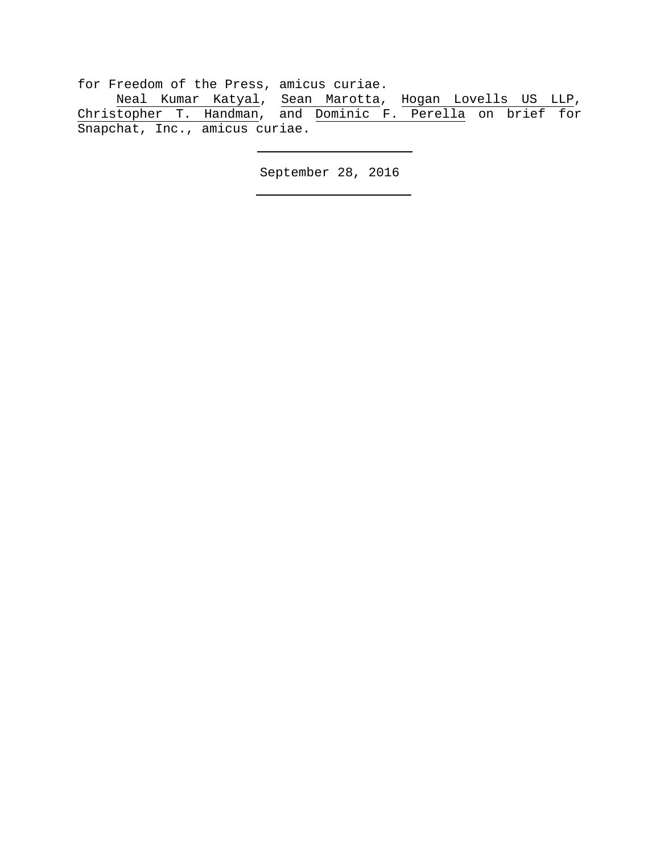for Freedom of the Press, amicus curiae.

Neal Kumar Katyal, Sean Marotta, Hogan Lovells US LLP, Christopher T. Handman, and Dominic F. Perella on brief for Snapchat, Inc., amicus curiae.

September 28, 2016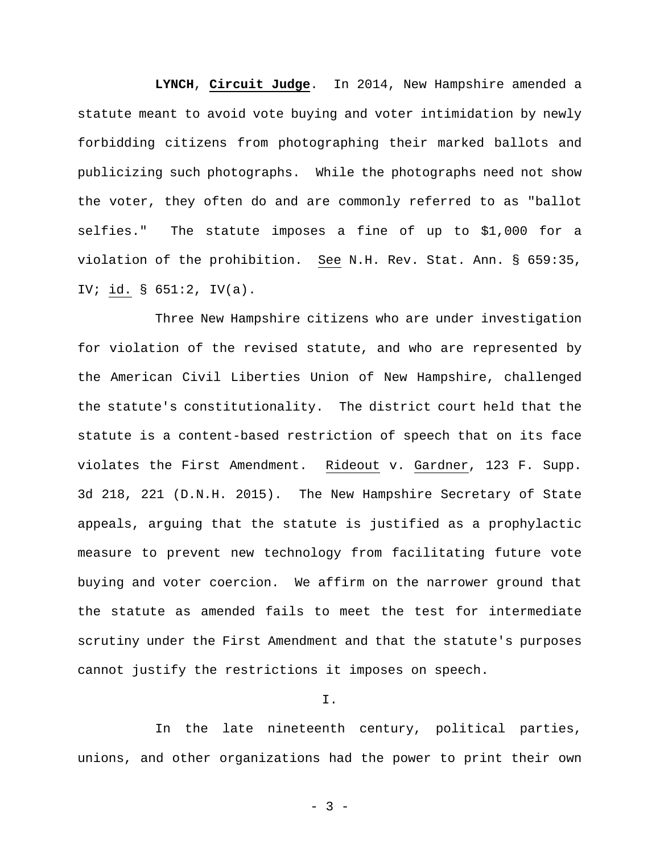**LYNCH**, **Circuit Judge**. In 2014, New Hampshire amended a statute meant to avoid vote buying and voter intimidation by newly forbidding citizens from photographing their marked ballots and publicizing such photographs. While the photographs need not show the voter, they often do and are commonly referred to as "ballot selfies." The statute imposes a fine of up to \$1,000 for a violation of the prohibition. See N.H. Rev. Stat. Ann. § 659:35, IV; id. § 651:2, IV(a).

Three New Hampshire citizens who are under investigation for violation of the revised statute, and who are represented by the American Civil Liberties Union of New Hampshire, challenged the statute's constitutionality. The district court held that the statute is a content-based restriction of speech that on its face violates the First Amendment. Rideout v. Gardner, 123 F. Supp. 3d 218, 221 (D.N.H. 2015). The New Hampshire Secretary of State appeals, arguing that the statute is justified as a prophylactic measure to prevent new technology from facilitating future vote buying and voter coercion. We affirm on the narrower ground that the statute as amended fails to meet the test for intermediate scrutiny under the First Amendment and that the statute's purposes cannot justify the restrictions it imposes on speech.

## I.

In the late nineteenth century, political parties, unions, and other organizations had the power to print their own

- 3 -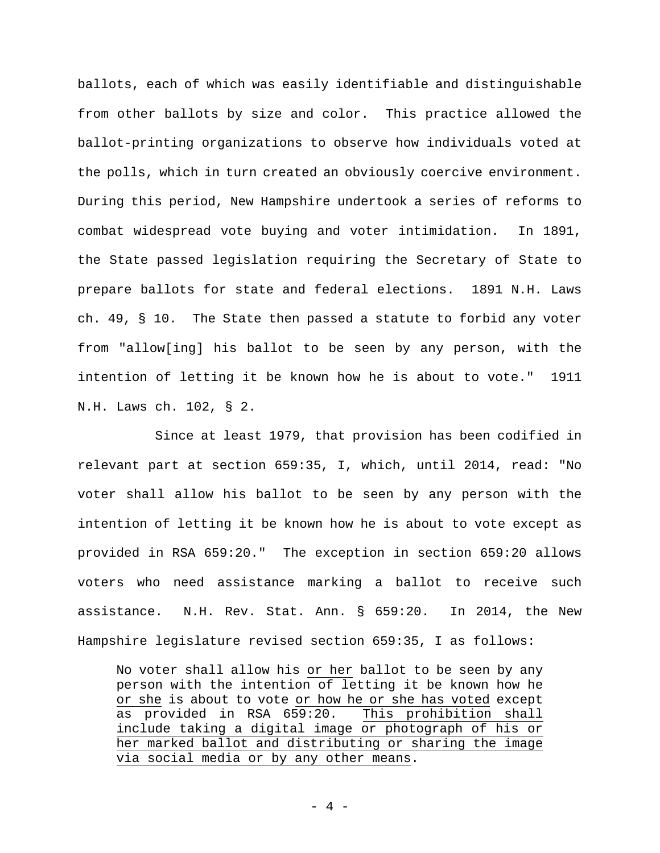ballots, each of which was easily identifiable and distinguishable from other ballots by size and color. This practice allowed the ballot-printing organizations to observe how individuals voted at the polls, which in turn created an obviously coercive environment. During this period, New Hampshire undertook a series of reforms to combat widespread vote buying and voter intimidation. In 1891, the State passed legislation requiring the Secretary of State to prepare ballots for state and federal elections. 1891 N.H. Laws ch. 49, § 10. The State then passed a statute to forbid any voter from "allow[ing] his ballot to be seen by any person, with the intention of letting it be known how he is about to vote." 1911 N.H. Laws ch. 102, § 2.

Since at least 1979, that provision has been codified in relevant part at section 659:35, I, which, until 2014, read: "No voter shall allow his ballot to be seen by any person with the intention of letting it be known how he is about to vote except as provided in RSA 659:20." The exception in section 659:20 allows voters who need assistance marking a ballot to receive such assistance. N.H. Rev. Stat. Ann. § 659:20. In 2014, the New Hampshire legislature revised section 659:35, I as follows:

No voter shall allow his or her ballot to be seen by any person with the intention of letting it be known how he or she is about to vote or how he or she has voted except as provided in RSA 659:20. This prohibition shall include taking a digital image or photograph of his or her marked ballot and distributing or sharing the image via social media or by any other means.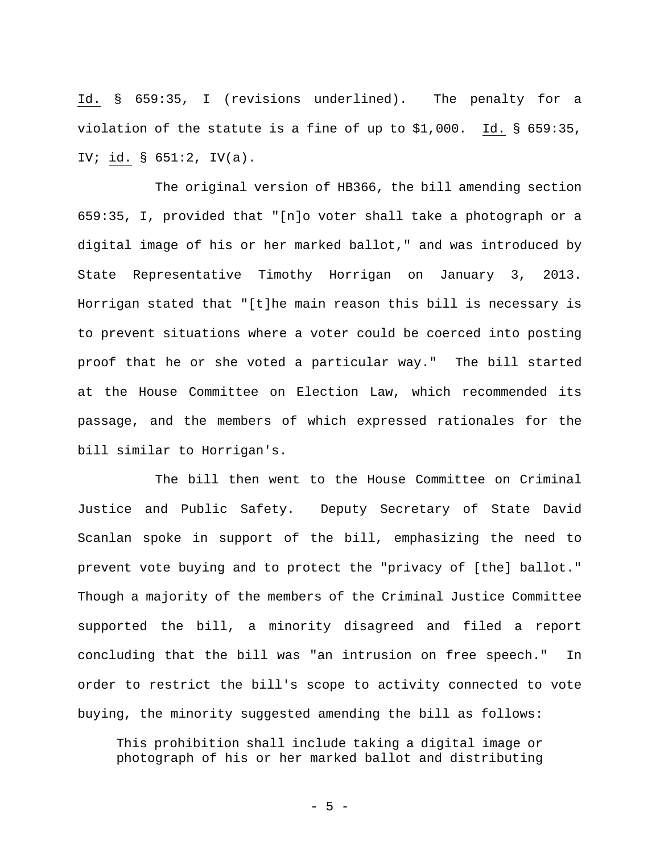Id. § 659:35, I (revisions underlined). The penalty for a violation of the statute is a fine of up to \$1,000. Id. § 659:35, IV; id. § 651:2, IV(a).

The original version of HB366, the bill amending section 659:35, I, provided that "[n]o voter shall take a photograph or a digital image of his or her marked ballot," and was introduced by State Representative Timothy Horrigan on January 3, 2013. Horrigan stated that "[t]he main reason this bill is necessary is to prevent situations where a voter could be coerced into posting proof that he or she voted a particular way."The bill started at the House Committee on Election Law, which recommended its passage, and the members of which expressed rationales for the bill similar to Horrigan's.

The bill then went to the House Committee on Criminal Justice and Public Safety. Deputy Secretary of State David Scanlan spoke in support of the bill, emphasizing the need to prevent vote buying and to protect the "privacy of [the] ballot." Though a majority of the members of the Criminal Justice Committee supported the bill, a minority disagreed and filed a report concluding that the bill was "an intrusion on free speech." In order to restrict the bill's scope to activity connected to vote buying, the minority suggested amending the bill as follows:

This prohibition shall include taking a digital image or photograph of his or her marked ballot and distributing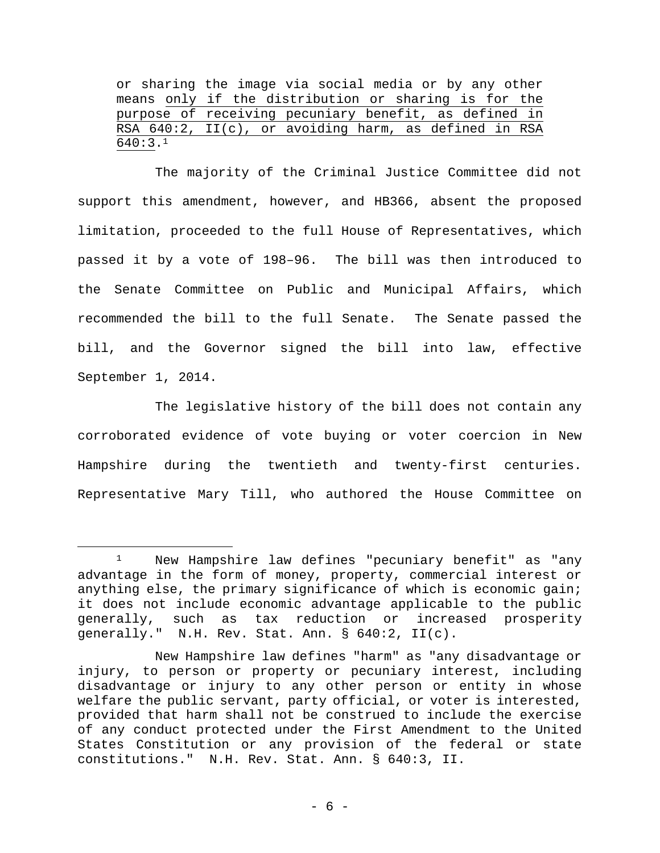or sharing the image via social media or by any other means only if the distribution or sharing is for the purpose of receiving pecuniary benefit, as defined in RSA 640:2, II(c), or avoiding harm, as defined in RSA 640:3.1

The majority of the Criminal Justice Committee did not support this amendment, however, and HB366, absent the proposed limitation, proceeded to the full House of Representatives, which passed it by a vote of 198–96. The bill was then introduced to the Senate Committee on Public and Municipal Affairs, which recommended the bill to the full Senate. The Senate passed the bill, and the Governor signed the bill into law, effective September 1, 2014.

The legislative history of the bill does not contain any corroborated evidence of vote buying or voter coercion in New Hampshire during the twentieth and twenty-first centuries. Representative Mary Till, who authored the House Committee on

<sup>&</sup>lt;sup>1</sup> New Hampshire law defines "pecuniary benefit" as "any advantage in the form of money, property, commercial interest or anything else, the primary significance of which is economic gain; it does not include economic advantage applicable to the public generally, such as tax reduction or increased prosperity generally." N.H. Rev. Stat. Ann. § 640:2, II(c).

New Hampshire law defines "harm" as "any disadvantage or injury, to person or property or pecuniary interest, including disadvantage or injury to any other person or entity in whose welfare the public servant, party official, or voter is interested, provided that harm shall not be construed to include the exercise of any conduct protected under the First Amendment to the United States Constitution or any provision of the federal or state constitutions." N.H. Rev. Stat. Ann. § 640:3, II.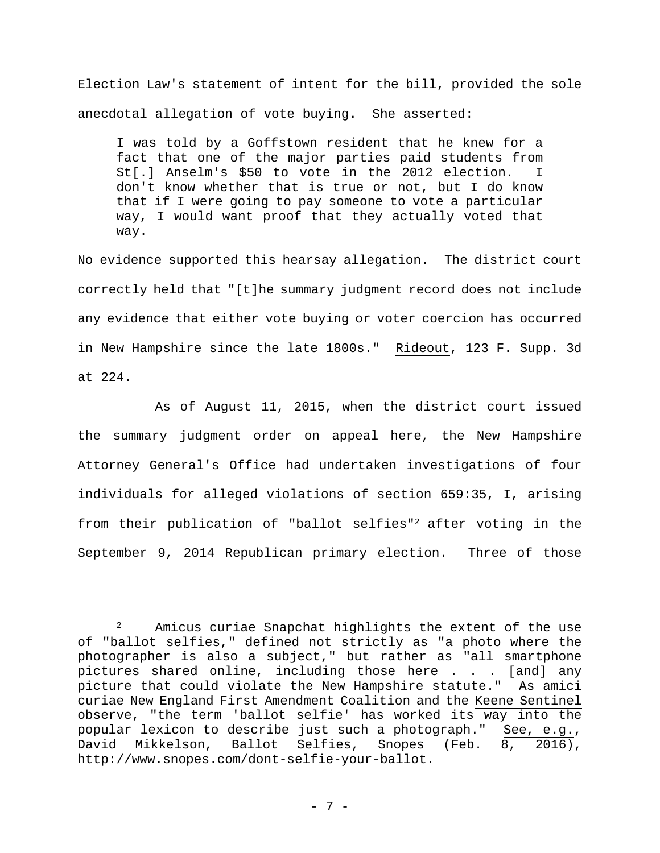Election Law's statement of intent for the bill, provided the sole anecdotal allegation of vote buying. She asserted:

I was told by a Goffstown resident that he knew for a fact that one of the major parties paid students from St[.] Anselm's \$50 to vote in the 2012 election. I don't know whether that is true or not, but I do know that if I were going to pay someone to vote a particular way, I would want proof that they actually voted that way.

No evidence supported this hearsay allegation. The district court correctly held that "[t]he summary judgment record does not include any evidence that either vote buying or voter coercion has occurred in New Hampshire since the late 1800s." Rideout, 123 F. Supp. 3d at 224.

As of August 11, 2015, when the district court issued the summary judgment order on appeal here, the New Hampshire Attorney General's Office had undertaken investigations of four individuals for alleged violations of section 659:35, I, arising from their publication of "ballot selfies"2 after voting in the September 9, 2014 Republican primary election. Three of those

<sup>&</sup>lt;sup>2</sup> Amicus curiae Snapchat highlights the extent of the use of "ballot selfies," defined not strictly as "a photo where the photographer is also a subject," but rather as "all smartphone pictures shared online, including those here . . . [and] any picture that could violate the New Hampshire statute." As amici curiae New England First Amendment Coalition and the Keene Sentinel observe, "the term 'ballot selfie' has worked its way into the popular lexicon to describe just such a photograph." See, e.g., David Mikkelson, Ballot Selfies, Snopes (Feb. 8, 2016), http://www.snopes.com/dont-selfie-your-ballot.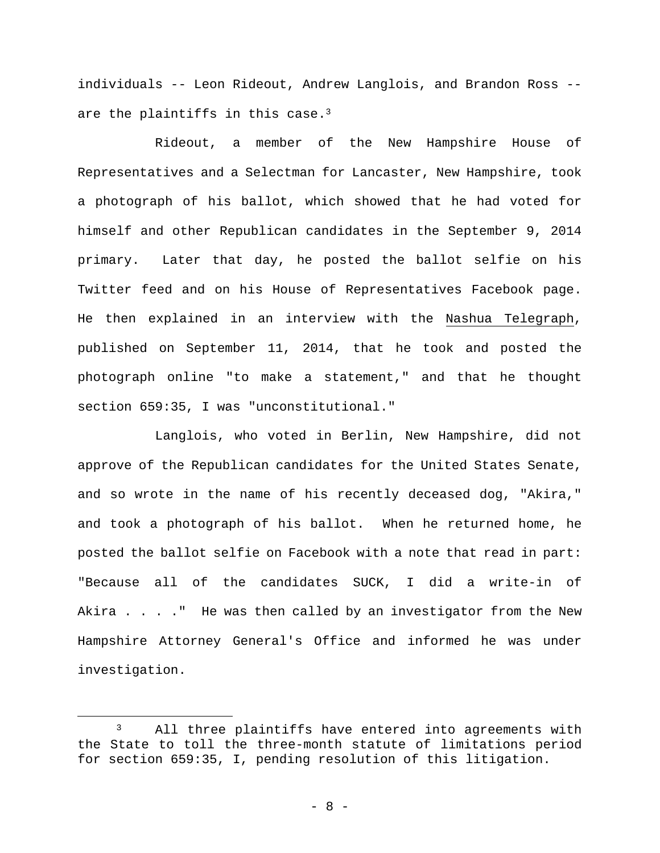individuals -- Leon Rideout, Andrew Langlois, and Brandon Ross - are the plaintiffs in this case.<sup>3</sup>

Rideout, a member of the New Hampshire House of Representatives and a Selectman for Lancaster, New Hampshire, took a photograph of his ballot, which showed that he had voted for himself and other Republican candidates in the September 9, 2014 primary. Later that day, he posted the ballot selfie on his Twitter feed and on his House of Representatives Facebook page. He then explained in an interview with the Nashua Telegraph, published on September 11, 2014, that he took and posted the photograph online "to make a statement," and that he thought section 659:35, I was "unconstitutional."

Langlois, who voted in Berlin, New Hampshire, did not approve of the Republican candidates for the United States Senate, and so wrote in the name of his recently deceased dog, "Akira," and took a photograph of his ballot. When he returned home, he posted the ballot selfie on Facebook with a note that read in part: "Because all of the candidates SUCK, I did a write-in of Akira . . . . " He was then called by an investigator from the New Hampshire Attorney General's Office and informed he was under investigation.

<sup>&</sup>lt;sup>3</sup> All three plaintiffs have entered into agreements with the State to toll the three-month statute of limitations period for section 659:35, I, pending resolution of this litigation.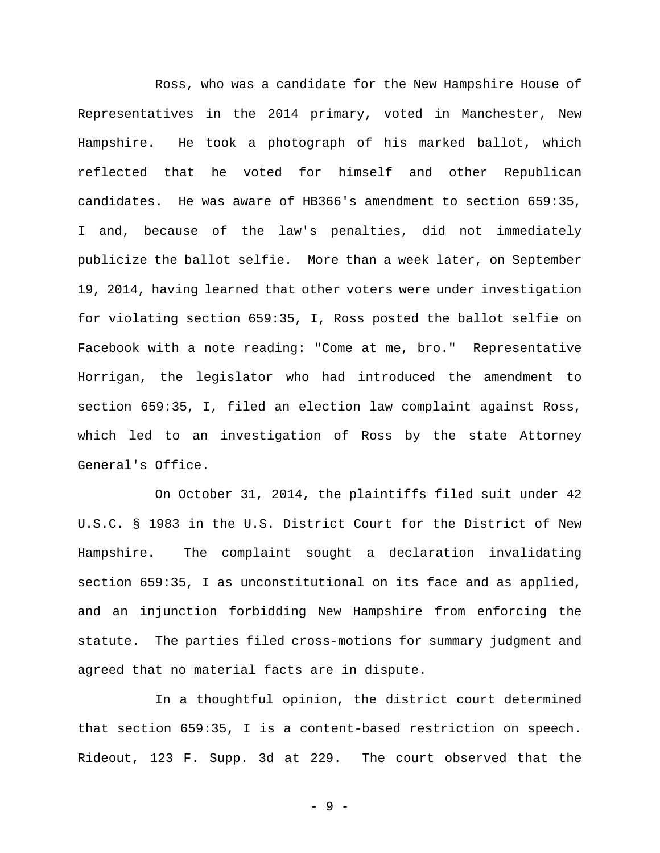Ross, who was a candidate for the New Hampshire House of Representatives in the 2014 primary, voted in Manchester, New Hampshire. He took a photograph of his marked ballot, which reflected that he voted for himself and other Republican candidates. He was aware of HB366's amendment to section 659:35, I and, because of the law's penalties, did not immediately publicize the ballot selfie. More than a week later, on September 19, 2014, having learned that other voters were under investigation for violating section 659:35, I, Ross posted the ballot selfie on Facebook with a note reading: "Come at me, bro." Representative Horrigan, the legislator who had introduced the amendment to section 659:35, I, filed an election law complaint against Ross, which led to an investigation of Ross by the state Attorney General's Office.

On October 31, 2014, the plaintiffs filed suit under 42 U.S.C. § 1983 in the U.S. District Court for the District of New Hampshire. The complaint sought a declaration invalidating section 659:35, I as unconstitutional on its face and as applied, and an injunction forbidding New Hampshire from enforcing the statute. The parties filed cross-motions for summary judgment and agreed that no material facts are in dispute.

In a thoughtful opinion, the district court determined that section 659:35, I is a content-based restriction on speech. Rideout, 123 F. Supp. 3d at 229. The court observed that the

- 9 -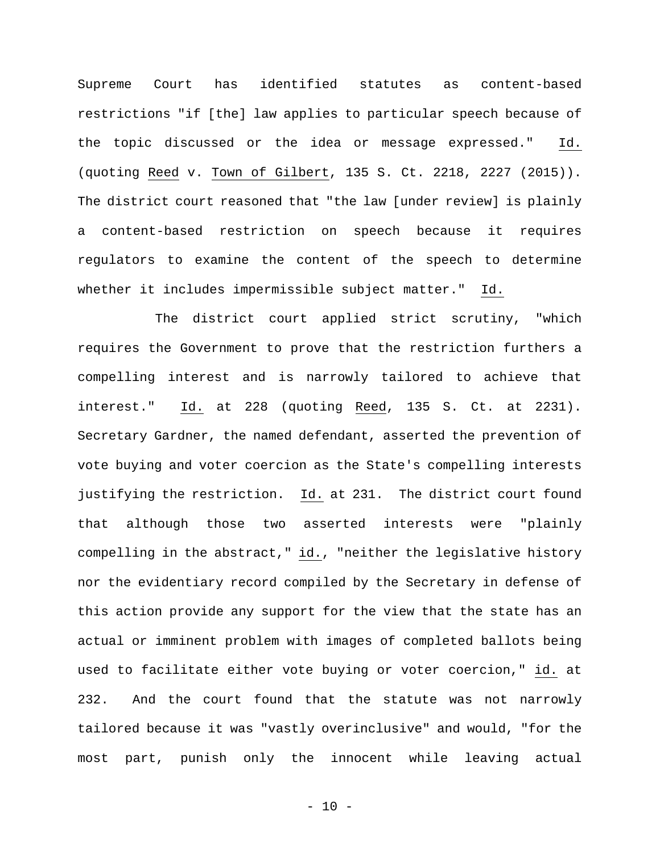Supreme Court has identified statutes as content-based restrictions "if [the] law applies to particular speech because of the topic discussed or the idea or message expressed." Id. (quoting Reed v. Town of Gilbert, 135 S. Ct. 2218, 2227 (2015)). The district court reasoned that "the law [under review] is plainly a content-based restriction on speech because it requires regulators to examine the content of the speech to determine whether it includes impermissible subject matter." Id.

The district court applied strict scrutiny, "which requires the Government to prove that the restriction furthers a compelling interest and is narrowly tailored to achieve that interest." Id. at 228 (quoting Reed, 135 S. Ct. at 2231). Secretary Gardner, the named defendant, asserted the prevention of vote buying and voter coercion as the State's compelling interests justifying the restriction. Id. at 231. The district court found that although those two asserted interests were "plainly compelling in the abstract," id., "neither the legislative history nor the evidentiary record compiled by the Secretary in defense of this action provide any support for the view that the state has an actual or imminent problem with images of completed ballots being used to facilitate either vote buying or voter coercion," id. at 232. And the court found that the statute was not narrowly tailored because it was "vastly overinclusive" and would, "for the most part, punish only the innocent while leaving actual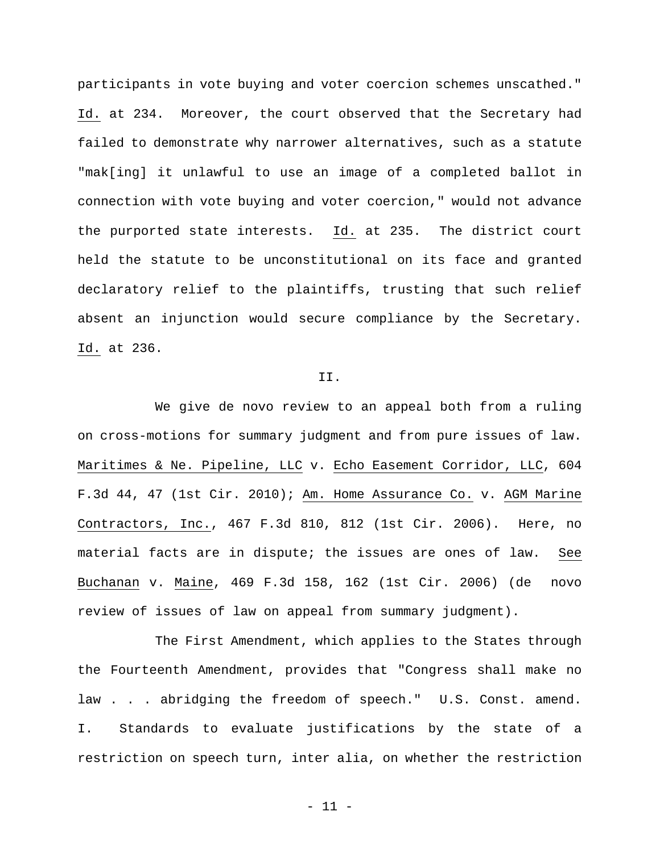participants in vote buying and voter coercion schemes unscathed." Id. at 234. Moreover, the court observed that the Secretary had failed to demonstrate why narrower alternatives, such as a statute "mak[ing] it unlawful to use an image of a completed ballot in connection with vote buying and voter coercion," would not advance the purported state interests. Id. at 235. The district court held the statute to be unconstitutional on its face and granted declaratory relief to the plaintiffs, trusting that such relief absent an injunction would secure compliance by the Secretary. Id. at 236.

## II.

We give de novo review to an appeal both from a ruling on cross-motions for summary judgment and from pure issues of law. Maritimes & Ne. Pipeline, LLC v. Echo Easement Corridor, LLC, 604 F.3d 44, 47 (1st Cir. 2010); Am. Home Assurance Co. v. AGM Marine Contractors, Inc., 467 F.3d 810, 812 (1st Cir. 2006). Here, no material facts are in dispute; the issues are ones of law. See Buchanan v. Maine, 469 F.3d 158, 162 (1st Cir. 2006) (de novo review of issues of law on appeal from summary judgment).

The First Amendment, which applies to the States through the Fourteenth Amendment, provides that "Congress shall make no law . . . abridging the freedom of speech." U.S. Const. amend. I. Standards to evaluate justifications by the state of a restriction on speech turn, inter alia, on whether the restriction

- 11 -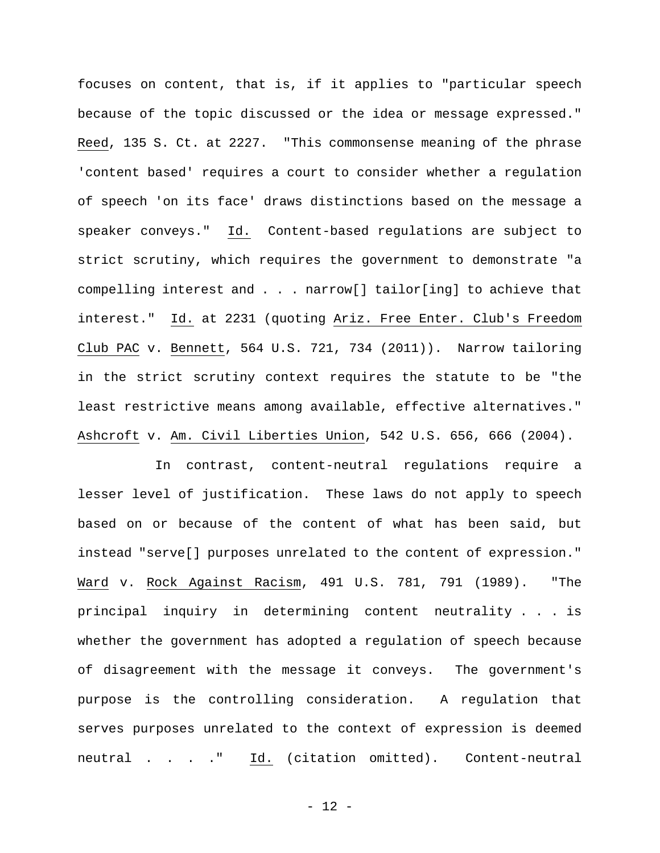focuses on content, that is, if it applies to "particular speech because of the topic discussed or the idea or message expressed." Reed, 135 S. Ct. at 2227. "This commonsense meaning of the phrase 'content based' requires a court to consider whether a regulation of speech 'on its face' draws distinctions based on the message a speaker conveys." Id. Content-based regulations are subject to strict scrutiny, which requires the government to demonstrate "a compelling interest and . . . narrow[] tailor[ing] to achieve that interest." Id. at 2231 (quoting Ariz. Free Enter. Club's Freedom Club PAC v. Bennett, 564 U.S. 721, 734 (2011)). Narrow tailoring in the strict scrutiny context requires the statute to be "the least restrictive means among available, effective alternatives." Ashcroft v. Am. Civil Liberties Union, 542 U.S. 656, 666 (2004).

In contrast, content-neutral regulations require a lesser level of justification. These laws do not apply to speech based on or because of the content of what has been said, but instead "serve[] purposes unrelated to the content of expression." Ward v. Rock Against Racism, 491 U.S. 781, 791 (1989). "The principal inquiry in determining content neutrality . . . is whether the government has adopted a regulation of speech because of disagreement with the message it conveys. The government's purpose is the controlling consideration. A regulation that serves purposes unrelated to the context of expression is deemed neutral . . . . " Id. (citation omitted). Content-neutral

- 12 -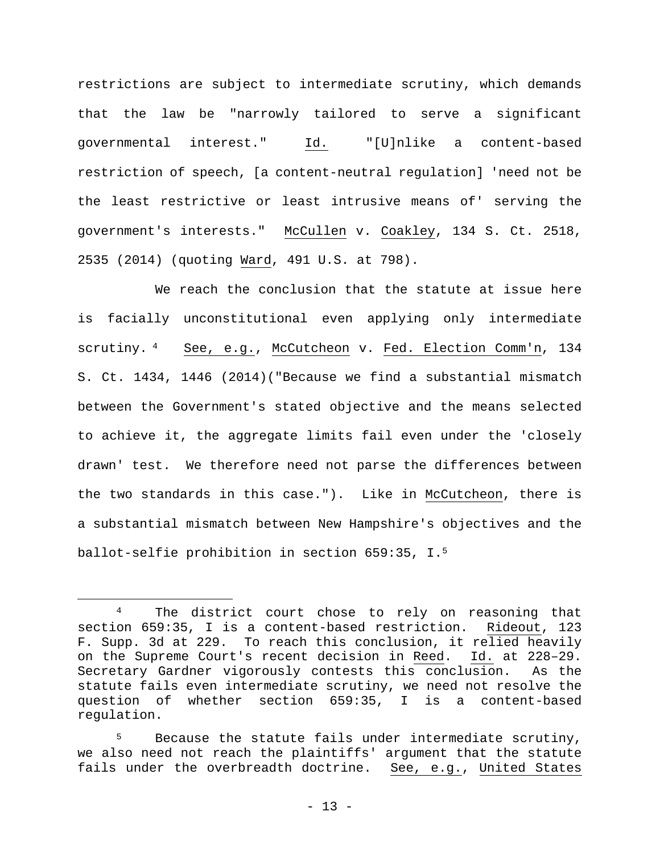restrictions are subject to intermediate scrutiny, which demands that the law be "narrowly tailored to serve a significant governmental interest." Id. "[U]nlike a content-based restriction of speech, [a content-neutral regulation] 'need not be the least restrictive or least intrusive means of' serving the government's interests." McCullen v. Coakley, 134 S. Ct. 2518, 2535 (2014) (quoting Ward, 491 U.S. at 798).

We reach the conclusion that the statute at issue here is facially unconstitutional even applying only intermediate scrutiny. <sup>4</sup> See, e.g., McCutcheon v. Fed. Election Comm'n, 134 S. Ct. 1434, 1446 (2014)("Because we find a substantial mismatch between the Government's stated objective and the means selected to achieve it, the aggregate limits fail even under the 'closely drawn' test. We therefore need not parse the differences between the two standards in this case."). Like in McCutcheon, there is a substantial mismatch between New Hampshire's objectives and the ballot-selfie prohibition in section 659:35, I.5

<sup>&</sup>lt;sup>4</sup> The district court chose to rely on reasoning that section 659:35, I is a content-based restriction. Rideout, 123 F. Supp. 3d at 229. To reach this conclusion, it relied heavily on the Supreme Court's recent decision in Reed. Id. at 228–29. Secretary Gardner vigorously contests this conclusion. As the statute fails even intermediate scrutiny, we need not resolve the question of whether section 659:35, I is a content-based regulation.

<sup>5</sup> Because the statute fails under intermediate scrutiny, we also need not reach the plaintiffs' argument that the statute fails under the overbreadth doctrine. See, e.g., United States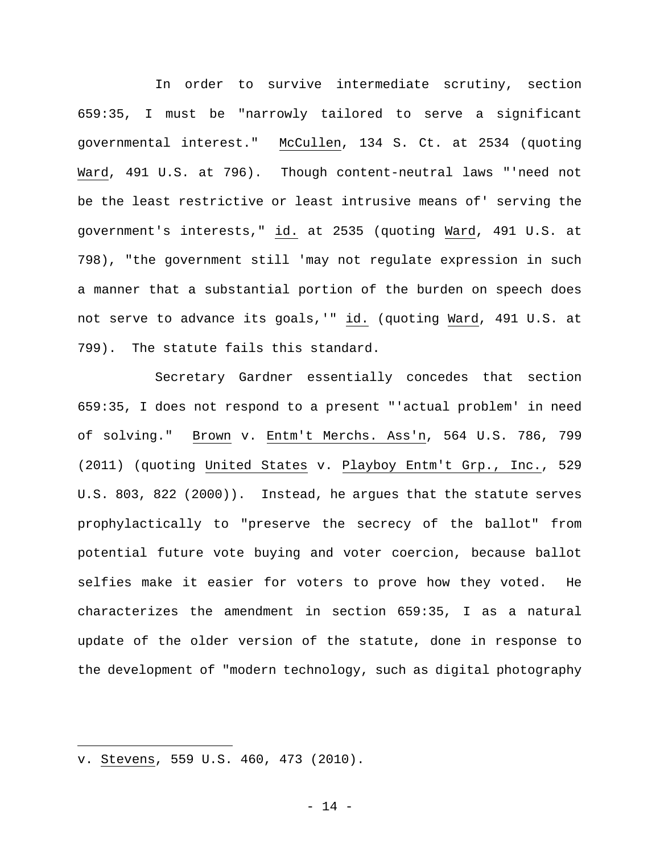In order to survive intermediate scrutiny, section 659:35, I must be "narrowly tailored to serve a significant governmental interest." McCullen, 134 S. Ct. at 2534 (quoting Ward, 491 U.S. at 796). Though content-neutral laws "'need not be the least restrictive or least intrusive means of' serving the government's interests," id. at 2535 (quoting Ward, 491 U.S. at 798), "the government still 'may not regulate expression in such a manner that a substantial portion of the burden on speech does not serve to advance its goals,'" id. (quoting Ward, 491 U.S. at 799). The statute fails this standard.

Secretary Gardner essentially concedes that section 659:35, I does not respond to a present "'actual problem' in need of solving." Brown v. Entm't Merchs. Ass'n, 564 U.S. 786, 799 (2011) (quoting United States v. Playboy Entm't Grp., Inc., 529 U.S. 803, 822 (2000)). Instead, he argues that the statute serves prophylactically to "preserve the secrecy of the ballot" from potential future vote buying and voter coercion, because ballot selfies make it easier for voters to prove how they voted. He characterizes the amendment in section 659:35, I as a natural update of the older version of the statute, done in response to the development of "modern technology, such as digital photography

i<br>Li

v. Stevens, 559 U.S. 460, 473 (2010).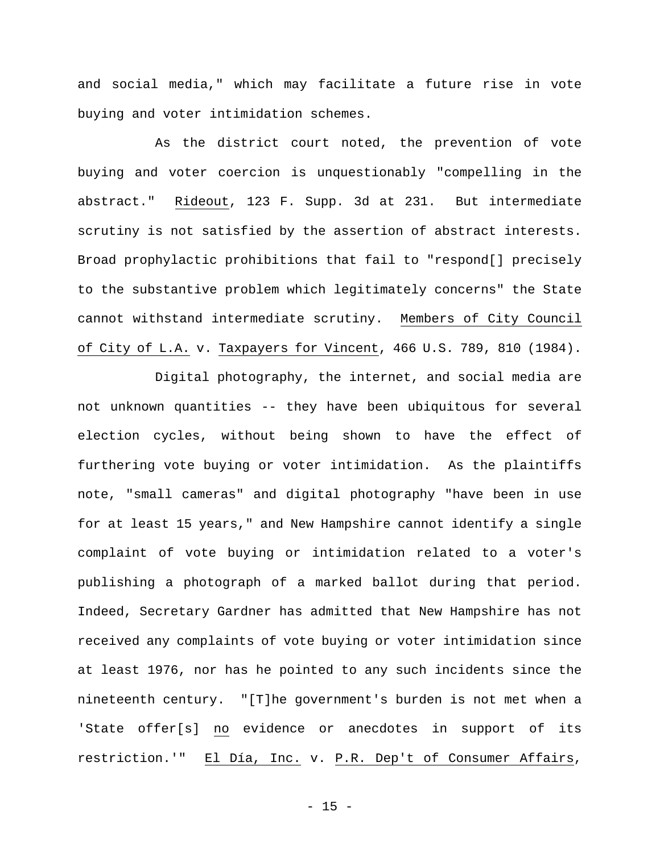and social media," which may facilitate a future rise in vote buying and voter intimidation schemes.

As the district court noted, the prevention of vote buying and voter coercion is unquestionably "compelling in the abstract." Rideout, 123 F. Supp. 3d at 231. But intermediate scrutiny is not satisfied by the assertion of abstract interests. Broad prophylactic prohibitions that fail to "respond[] precisely to the substantive problem which legitimately concerns" the State cannot withstand intermediate scrutiny. Members of City Council of City of L.A. v. Taxpayers for Vincent, 466 U.S. 789, 810 (1984).

Digital photography, the internet, and social media are not unknown quantities -- they have been ubiquitous for several election cycles, without being shown to have the effect of furthering vote buying or voter intimidation. As the plaintiffs note, "small cameras" and digital photography "have been in use for at least 15 years," and New Hampshire cannot identify a single complaint of vote buying or intimidation related to a voter's publishing a photograph of a marked ballot during that period. Indeed, Secretary Gardner has admitted that New Hampshire has not received any complaints of vote buying or voter intimidation since at least 1976, nor has he pointed to any such incidents since the nineteenth century."[T]he government's burden is not met when a 'State offer[s] no evidence or anecdotes in support of its restriction.'" El Día, Inc. v. P.R. Dep't of Consumer Affairs,

- 15 -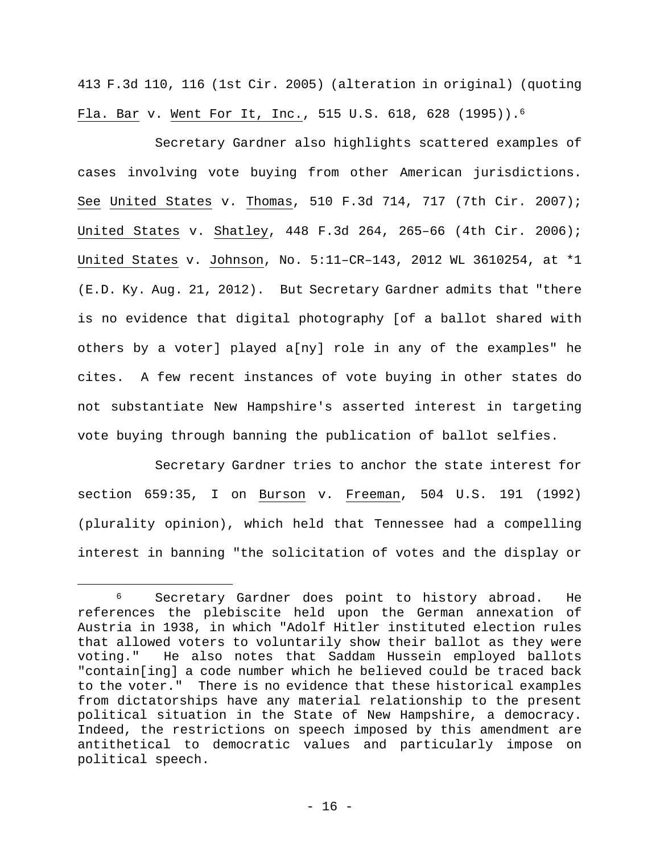413 F.3d 110, 116 (1st Cir. 2005) (alteration in original) (quoting Fla. Bar v. Went For It, Inc., 515 U.S. 618, 628 (1995)).6

Secretary Gardner also highlights scattered examples of cases involving vote buying from other American jurisdictions. See United States v. Thomas, 510 F.3d 714, 717 (7th Cir. 2007); United States v. Shatley, 448 F.3d 264, 265–66 (4th Cir. 2006); United States v. Johnson, No. 5:11–CR–143, 2012 WL 3610254, at \*1 (E.D. Ky. Aug. 21, 2012). But Secretary Gardner admits that "there is no evidence that digital photography [of a ballot shared with others by a voter] played a[ny] role in any of the examples" he cites.A few recent instances of vote buying in other states do not substantiate New Hampshire's asserted interest in targeting vote buying through banning the publication of ballot selfies.

Secretary Gardner tries to anchor the state interest for section 659:35, I on Burson v. Freeman, 504 U.S. 191 (1992) (plurality opinion), which held that Tennessee had a compelling interest in banning "the solicitation of votes and the display or

 <sup>6</sup> Secretary Gardner does point to history abroad. He references the plebiscite held upon the German annexation of Austria in 1938, in which "Adolf Hitler instituted election rules that allowed voters to voluntarily show their ballot as they were voting." He also notes that Saddam Hussein employed ballots "contain[ing] a code number which he believed could be traced back to the voter." There is no evidence that these historical examples from dictatorships have any material relationship to the present political situation in the State of New Hampshire, a democracy. Indeed, the restrictions on speech imposed by this amendment are antithetical to democratic values and particularly impose on political speech.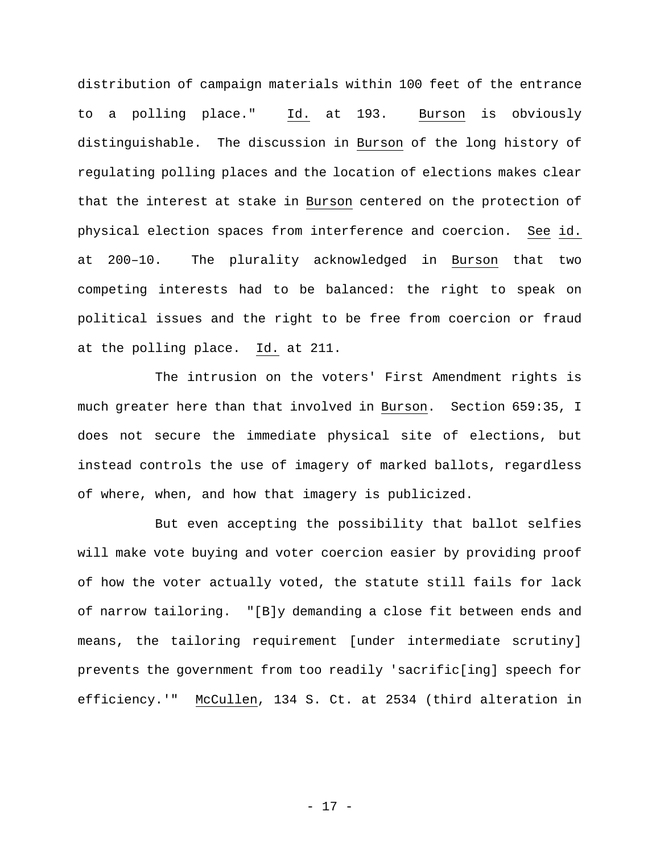distribution of campaign materials within 100 feet of the entrance to a polling place." Id. at 193. Burson is obviously distinguishable. The discussion in Burson of the long history of regulating polling places and the location of elections makes clear that the interest at stake in Burson centered on the protection of physical election spaces from interference and coercion. See id. at 200–10. The plurality acknowledged in Burson that two competing interests had to be balanced: the right to speak on political issues and the right to be free from coercion or fraud at the polling place. Id. at 211.

The intrusion on the voters' First Amendment rights is much greater here than that involved in Burson. Section 659:35, I does not secure the immediate physical site of elections, but instead controls the use of imagery of marked ballots, regardless of where, when, and how that imagery is publicized.

But even accepting the possibility that ballot selfies will make vote buying and voter coercion easier by providing proof of how the voter actually voted, the statute still fails for lack of narrow tailoring. "[B]y demanding a close fit between ends and means, the tailoring requirement [under intermediate scrutiny] prevents the government from too readily 'sacrific[ing] speech for efficiency.'" McCullen, 134 S. Ct. at 2534 (third alteration in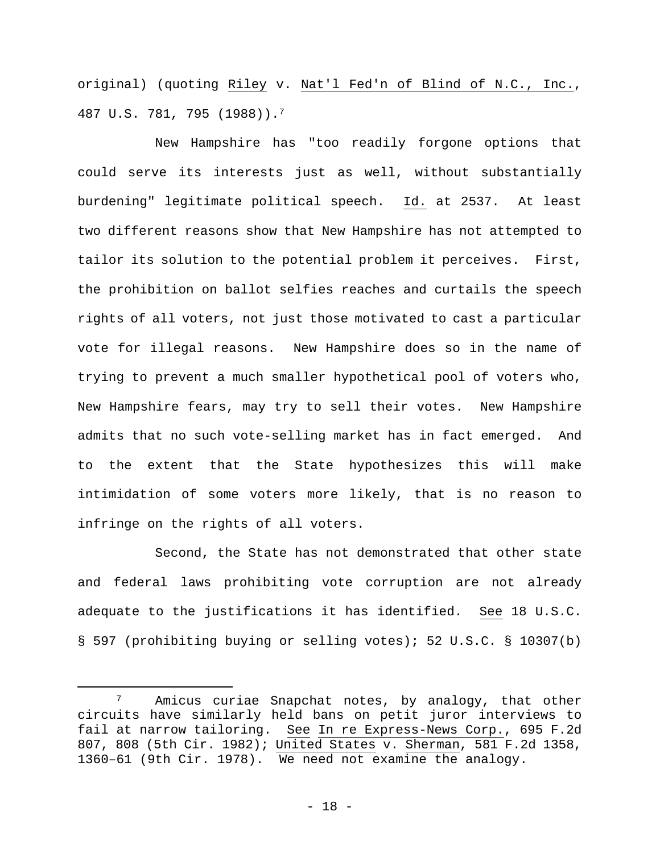original) (quoting Riley v. Nat'l Fed'n of Blind of N.C., Inc., 487 U.S. 781, 795 (1988)).7

New Hampshire has "too readily forgone options that could serve its interests just as well, without substantially burdening" legitimate political speech. Id. at 2537. At least two different reasons show that New Hampshire has not attempted to tailor its solution to the potential problem it perceives. First, the prohibition on ballot selfies reaches and curtails the speech rights of all voters, not just those motivated to cast a particular vote for illegal reasons. New Hampshire does so in the name of trying to prevent a much smaller hypothetical pool of voters who, New Hampshire fears, may try to sell their votes. New Hampshire admits that no such vote-selling market has in fact emerged. And to the extent that the State hypothesizes this will make intimidation of some voters more likely, that is no reason to infringe on the rights of all voters.

Second, the State has not demonstrated that other state and federal laws prohibiting vote corruption are not already adequate to the justifications it has identified. See 18 U.S.C. § 597 (prohibiting buying or selling votes); 52 U.S.C. § 10307(b)

<sup>&</sup>lt;sup>7</sup> Amicus curiae Snapchat notes, by analogy, that other circuits have similarly held bans on petit juror interviews to fail at narrow tailoring. See In re Express-News Corp., 695 F.2d 807, 808 (5th Cir. 1982); United States v. Sherman, 581 F.2d 1358, 1360–61 (9th Cir. 1978). We need not examine the analogy.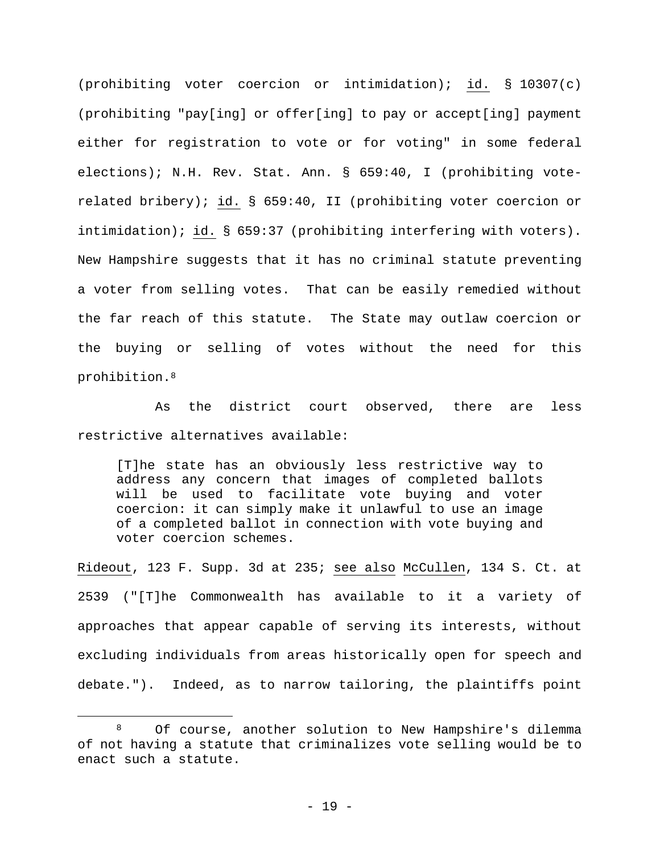(prohibiting voter coercion or intimidation); id. § 10307(c) (prohibiting "pay[ing] or offer[ing] to pay or accept[ing] payment either for registration to vote or for voting" in some federal elections); N.H. Rev. Stat. Ann. § 659:40, I (prohibiting voterelated bribery); id. § 659:40, II (prohibiting voter coercion or intimidation); id. § 659:37 (prohibiting interfering with voters). New Hampshire suggests that it has no criminal statute preventing a voter from selling votes. That can be easily remedied without the far reach of this statute. The State may outlaw coercion or the buying or selling of votes without the need for this prohibition.8

As the district court observed, there are less restrictive alternatives available:

[T]he state has an obviously less restrictive way to address any concern that images of completed ballots will be used to facilitate vote buying and voter coercion: it can simply make it unlawful to use an image of a completed ballot in connection with vote buying and voter coercion schemes.

Rideout, 123 F. Supp. 3d at 235; see also McCullen, 134 S. Ct. at 2539 ("[T]he Commonwealth has available to it a variety of approaches that appear capable of serving its interests, without excluding individuals from areas historically open for speech and debate."). Indeed, as to narrow tailoring, the plaintiffs point

 <sup>8</sup> Of course, another solution to New Hampshire's dilemma of not having a statute that criminalizes vote selling would be to enact such a statute.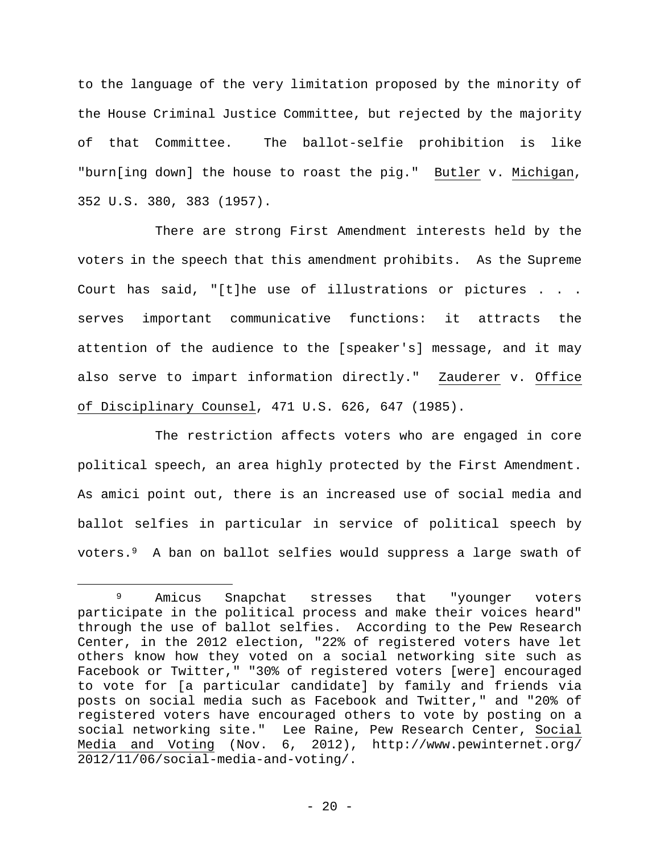to the language of the very limitation proposed by the minority of the House Criminal Justice Committee, but rejected by the majority of that Committee. The ballot-selfie prohibition is like "burn[ing down] the house to roast the pig." Butler v. Michigan, 352 U.S. 380, 383 (1957).

There are strong First Amendment interests held by the voters in the speech that this amendment prohibits. As the Supreme Court has said, "[t]he use of illustrations or pictures . . . serves important communicative functions: it attracts the attention of the audience to the [speaker's] message, and it may also serve to impart information directly." Zauderer v. Office of Disciplinary Counsel, 471 U.S. 626, 647 (1985).

The restriction affects voters who are engaged in core political speech, an area highly protected by the First Amendment. As amici point out, there is an increased use of social media and ballot selfies in particular in service of political speech by voters.9 A ban on ballot selfies would suppress a large swath of

 <sup>9</sup> Amicus Snapchat stresses that "younger voters participate in the political process and make their voices heard" through the use of ballot selfies. According to the Pew Research Center, in the 2012 election, "22% of registered voters have let others know how they voted on a social networking site such as Facebook or Twitter," "30% of registered voters [were] encouraged to vote for [a particular candidate] by family and friends via posts on social media such as Facebook and Twitter," and "20% of registered voters have encouraged others to vote by posting on a social networking site." Lee Raine, Pew Research Center, Social Media and Voting (Nov. 6, 2012), http://www.pewinternet.org/ 2012/11/06/social-media-and-voting/.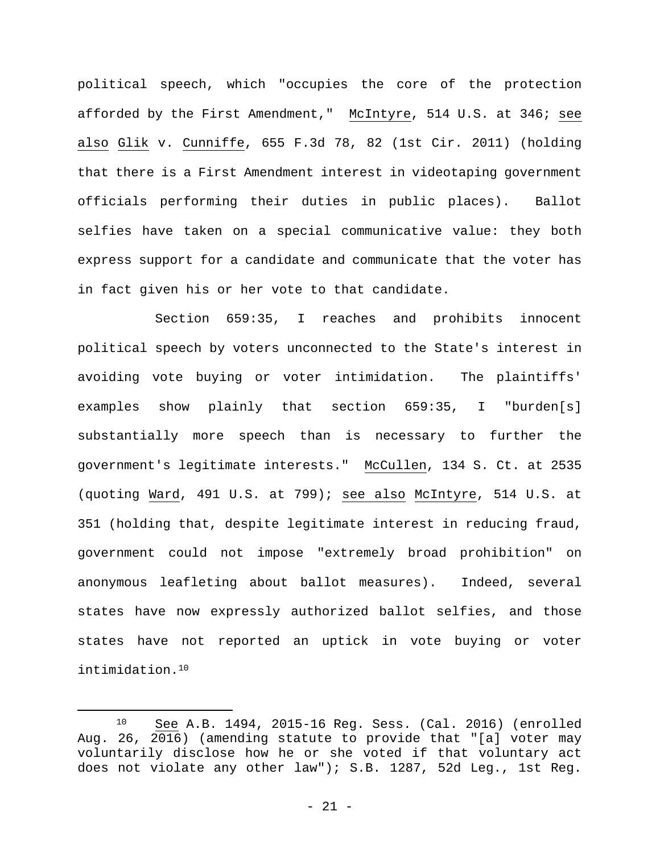political speech, which "occupies the core of the protection afforded by the First Amendment," McIntyre, 514 U.S. at 346; see also Glik v. Cunniffe, 655 F.3d 78, 82 (1st Cir. 2011) (holding that there is a First Amendment interest in videotaping government officials performing their duties in public places). Ballot selfies have taken on a special communicative value: they both express support for a candidate and communicate that the voter has in fact given his or her vote to that candidate.

Section 659:35, I reaches and prohibits innocent political speech by voters unconnected to the State's interest in avoiding vote buying or voter intimidation. The plaintiffs' examples show plainly that section 659:35, I "burden[s] substantially more speech than is necessary to further the government's legitimate interests." McCullen, 134 S. Ct. at 2535 (quoting Ward, 491 U.S. at 799); see also McIntyre, 514 U.S. at 351 (holding that, despite legitimate interest in reducing fraud, government could not impose "extremely broad prohibition" on anonymous leafleting about ballot measures). Indeed, several states have now expressly authorized ballot selfies, and those states have not reported an uptick in vote buying or voter intimidation.10

 <sup>10</sup> See A.B. 1494, 2015-16 Reg. Sess. (Cal. 2016) (enrolled Aug. 26, 2016) (amending statute to provide that "[a] voter may voluntarily disclose how he or she voted if that voluntary act does not violate any other law"); S.B. 1287, 52d Leg., 1st Reg.